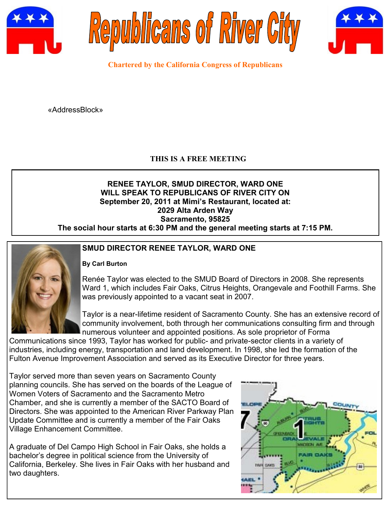





**Chartered by the California Congress of Republicans**

«AddressBlock»

## **THIS IS A FREE MEETING**

### **RENEE TAYLOR, SMUD DIRECTOR, WARD ONE WILL SPEAK TO REPUBLICANS OF RIVER CITY ON September 20, 2011 at Mimi's Restaurant, located at: 2029 Alta Arden Way Sacramento, 95825 The social hour starts at 6:30 PM and the general meeting starts at 7:15 PM.**



## **SMUD DIRECTOR RENEE TAYLOR, WARD ONE**

## **By Carl Burton**

Renée Taylor was elected to the SMUD Board of Directors in 2008. She represents Ward 1, which includes Fair Oaks, Citrus Heights, Orangevale and Foothill Farms. She was previously appointed to a vacant seat in 2007.

Taylor is a near-lifetime resident of Sacramento County. She has an extensive record of community involvement, both through her communications consulting firm and through numerous volunteer and appointed positions. As sole proprietor of Forma

Communications since 1993, Taylor has worked for public- and private-sector clients in a variety of industries, including energy, transportation and land development. In 1998, she led the formation of the Fulton Avenue Improvement Association and served as its Executive Director for three years.

Taylor served more than seven years on Sacramento County planning councils. She has served on the boards of the League of Women Voters of Sacramento and the Sacramento Metro Chamber, and she is currently a member of the SACTO Board of Directors. She was appointed to the American River Parkway Plan Update Committee and is currently a member of the Fair Oaks Village Enhancement Committee.

A graduate of Del Campo High School in Fair Oaks, she holds a bachelor's degree in political science from the University of California, Berkeley. She lives in Fair Oaks with her husband and two daughters.